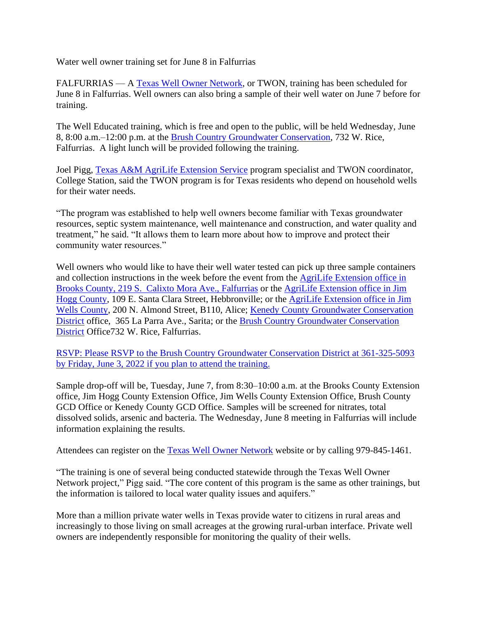Water well owner training set for June 8 in Falfurrias

FALFURRIAS — A Texas [Well Owner Network,](http://twon.tamu.edu/training) or TWON, training has been scheduled for June 8 in Falfurrias. Well owners can also bring a sample of their well water on June 7 before for training.

The Well Educated training, which is free and open to the public, will be held Wednesday, June 8, 8:00 a.m.–12:00 p.m. at the [Brush Country Groundwater Conservation,](https://brushcountrygcd.com/) 732 W. Rice, Falfurrias. A light lunch will be provided following the training.

Joel Pigg, [Texas A&M AgriLife Extension](http://agrilifeextension.tamu.edu/) Service program specialist and TWON coordinator, College Station, said the TWON program is for Texas residents who depend on household wells for their water needs.

"The program was established to help well owners become familiar with Texas groundwater resources, septic system maintenance, well maintenance and construction, and water quality and treatment," he said. "It allows them to learn more about how to improve and protect their community water resources."

Well owners who would like to have their well water tested can pick up three sample containers and collection instructions in the week before the event from the [AgriLife Extension office in](https://brooks.agrilife.org/contact/) Brooks [County,](https://brooks.agrilife.org/contact/) 219 S. Calixto Mora Ave., Falfurrias or the [AgriLife Extension office in J](https://jimhogg.agrilife.org/)im Hogg County, 109 E. Santa Clara Street, Hebbronville; or the [AgriLife Extension office in Jim](https://jimwells.agrilife.org/)  [Wells County,](https://jimwells.agrilife.org/) 200 N. Almond Street, B110, Alice; Kenedy [County Groundwater Conservation](http://www.kenedygcd.com/)  [District](http://www.kenedygcd.com/) office, 365 La Parra Ave., Sarita; or the [Brush Country Groundwater Conservation](https://brushcountrygcd.com/)  [District](https://brushcountrygcd.com/) Office732 W. Rice, Falfurrias.

RSVP: Please RSVP to the Brush Country Groundwater Conservation District at 361-325-5093 by Friday, June 3, 2022 if you plan to attend the training.

Sample drop-off will be, Tuesday, June 7, from 8:30–10:00 a.m. at the Brooks County Extension office, Jim Hogg County Extension Office, Jim Wells County Extension Office, Brush County GCD Office or Kenedy County GCD Office. Samples will be screened for nitrates, total dissolved solids, arsenic and bacteria. The Wednesday, June 8 meeting in Falfurrias will include information explaining the results.

Attendees can register on the [Texas Well Owner Network](http://twon.tamu.edu/training) website or by calling 979-845-1461.

"The training is one of several being conducted statewide through the Texas Well Owner Network project," Pigg said. "The core content of this program is the same as other trainings, but the information is tailored to local water quality issues and aquifers."

More than a million private water wells in Texas provide water to citizens in rural areas and increasingly to those living on small acreages at the growing rural-urban interface. Private well owners are independently responsible for monitoring the quality of their wells.